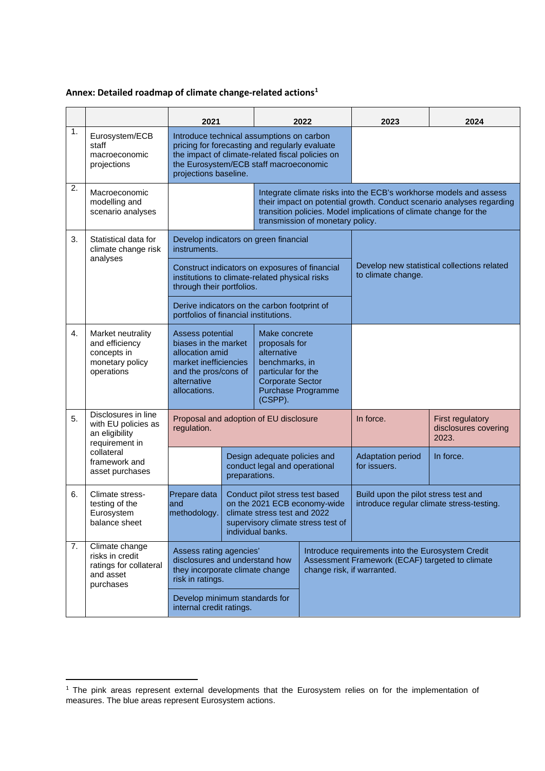## **Annex: Detailed roadmap of climate change-related actions[1](#page-0-0)**

|    |                                                                                                                                  | 2021                                                                                                                                                                                                               |                                                                                                                                                            |                                                                                                                                                   | 2022                                                                                                                               | 2023                                                                                                                                                                                                             | 2024                                                     |  |
|----|----------------------------------------------------------------------------------------------------------------------------------|--------------------------------------------------------------------------------------------------------------------------------------------------------------------------------------------------------------------|------------------------------------------------------------------------------------------------------------------------------------------------------------|---------------------------------------------------------------------------------------------------------------------------------------------------|------------------------------------------------------------------------------------------------------------------------------------|------------------------------------------------------------------------------------------------------------------------------------------------------------------------------------------------------------------|----------------------------------------------------------|--|
| 1. | Eurosystem/ECB<br>staff<br>macroeconomic<br>projections                                                                          | Introduce technical assumptions on carbon<br>pricing for forecasting and regularly evaluate<br>the impact of climate-related fiscal policies on<br>the Eurosystem/ECB staff macroeconomic<br>projections baseline. |                                                                                                                                                            |                                                                                                                                                   |                                                                                                                                    |                                                                                                                                                                                                                  |                                                          |  |
| 2. | Macroeconomic<br>modelling and<br>scenario analyses                                                                              |                                                                                                                                                                                                                    | transmission of monetary policy.                                                                                                                           |                                                                                                                                                   |                                                                                                                                    | Integrate climate risks into the ECB's workhorse models and assess<br>their impact on potential growth. Conduct scenario analyses regarding<br>transition policies. Model implications of climate change for the |                                                          |  |
| 3. | Statistical data for<br>climate change risk<br>analyses                                                                          | Develop indicators on green financial<br>instruments.                                                                                                                                                              |                                                                                                                                                            |                                                                                                                                                   |                                                                                                                                    | Develop new statistical collections related<br>to climate change.                                                                                                                                                |                                                          |  |
|    |                                                                                                                                  | Construct indicators on exposures of financial<br>institutions to climate-related physical risks<br>through their portfolios.                                                                                      |                                                                                                                                                            |                                                                                                                                                   |                                                                                                                                    |                                                                                                                                                                                                                  |                                                          |  |
|    |                                                                                                                                  | Derive indicators on the carbon footprint of<br>portfolios of financial institutions.                                                                                                                              |                                                                                                                                                            |                                                                                                                                                   |                                                                                                                                    |                                                                                                                                                                                                                  |                                                          |  |
| 4. | Market neutrality<br>and efficiency<br>concepts in<br>monetary policy<br>operations                                              | Assess potential<br>biases in the market<br>allocation amid<br>market inefficiencies<br>and the pros/cons of<br>alternative<br>allocations.                                                                        |                                                                                                                                                            | Make concrete<br>proposals for<br>alternative<br>benchmarks, in<br>particular for the<br><b>Corporate Sector</b><br>Purchase Programme<br>(CSPP). |                                                                                                                                    |                                                                                                                                                                                                                  |                                                          |  |
| 5. | Disclosures in line<br>with EU policies as<br>an eligibility<br>requirement in<br>collateral<br>framework and<br>asset purchases | Proposal and adoption of EU disclosure<br>regulation.                                                                                                                                                              |                                                                                                                                                            |                                                                                                                                                   |                                                                                                                                    | In force.                                                                                                                                                                                                        | <b>First regulatory</b><br>disclosures covering<br>2023. |  |
|    |                                                                                                                                  |                                                                                                                                                                                                                    | preparations.                                                                                                                                              | Design adequate policies and<br>conduct legal and operational                                                                                     |                                                                                                                                    | <b>Adaptation period</b><br>for issuers.                                                                                                                                                                         | In force.                                                |  |
| 6. | Climate stress-<br>testing of the<br>Eurosystem<br>balance sheet                                                                 | Prepare data<br>and<br>methodology.                                                                                                                                                                                | Conduct pilot stress test based<br>on the 2021 ECB economy-wide<br>climate stress test and 2022<br>supervisory climate stress test of<br>individual banks. |                                                                                                                                                   |                                                                                                                                    | Build upon the pilot stress test and<br>introduce regular climate stress-testing.                                                                                                                                |                                                          |  |
| 7. | Climate change<br>risks in credit<br>ratings for collateral<br>and asset<br>purchases                                            | Assess rating agencies'<br>disclosures and understand how<br>they incorporate climate change<br>risk in ratings.                                                                                                   |                                                                                                                                                            |                                                                                                                                                   | Introduce requirements into the Eurosystem Credit<br>Assessment Framework (ECAF) targeted to climate<br>change risk, if warranted. |                                                                                                                                                                                                                  |                                                          |  |
|    |                                                                                                                                  |                                                                                                                                                                                                                    | Develop minimum standards for<br>internal credit ratings.                                                                                                  |                                                                                                                                                   |                                                                                                                                    |                                                                                                                                                                                                                  |                                                          |  |

<span id="page-0-0"></span> $1$  The pink areas represent external developments that the Eurosystem relies on for the implementation of measures. The blue areas represent Eurosystem actions.